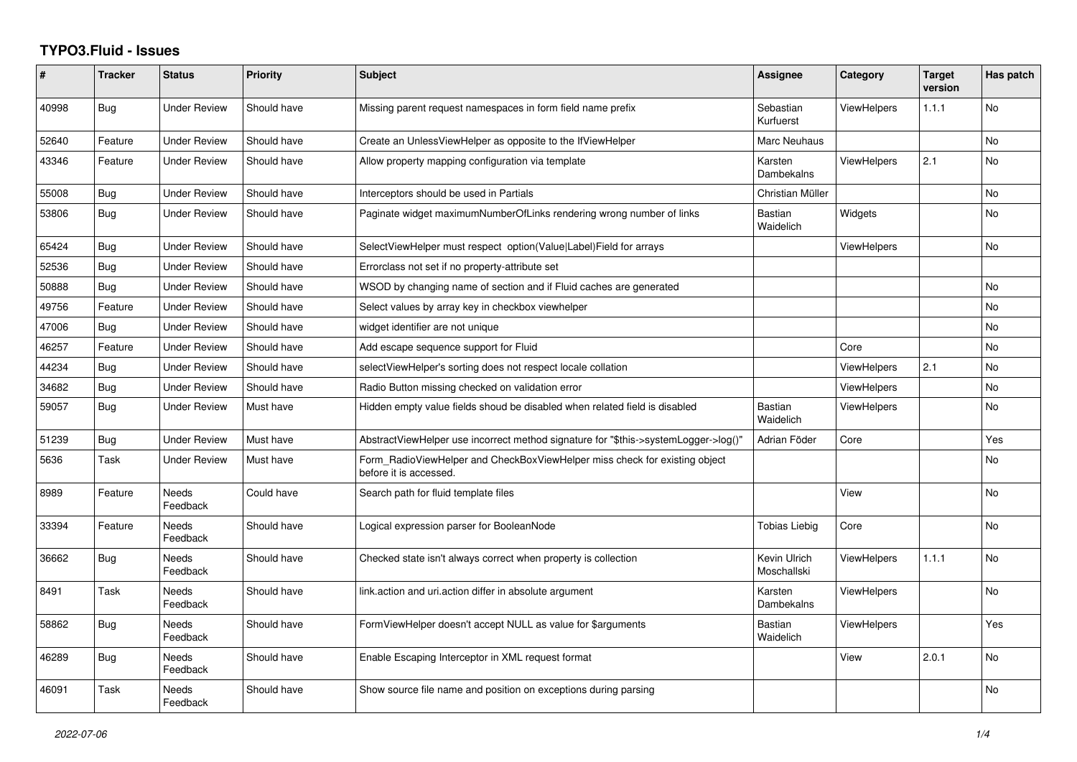## **TYPO3.Fluid - Issues**

| #     | <b>Tracker</b> | <b>Status</b>            | <b>Priority</b> | <b>Subject</b>                                                                                       | <b>Assignee</b>             | Category           | <b>Target</b><br>version | Has patch      |
|-------|----------------|--------------------------|-----------------|------------------------------------------------------------------------------------------------------|-----------------------------|--------------------|--------------------------|----------------|
| 40998 | Bug            | <b>Under Review</b>      | Should have     | Missing parent request namespaces in form field name prefix                                          | Sebastian<br>Kurfuerst      | <b>ViewHelpers</b> | 1.1.1                    | <b>No</b>      |
| 52640 | Feature        | <b>Under Review</b>      | Should have     | Create an UnlessViewHelper as opposite to the IfViewHelper                                           | Marc Neuhaus                |                    |                          | N <sub>o</sub> |
| 43346 | Feature        | <b>Under Review</b>      | Should have     | Allow property mapping configuration via template                                                    | Karsten<br>Dambekalns       | <b>ViewHelpers</b> | 2.1                      | <b>No</b>      |
| 55008 | <b>Bug</b>     | <b>Under Review</b>      | Should have     | Interceptors should be used in Partials                                                              | Christian Müller            |                    |                          | <b>No</b>      |
| 53806 | Bug            | Under Review             | Should have     | Paginate widget maximumNumberOfLinks rendering wrong number of links                                 | Bastian<br>Waidelich        | Widgets            |                          | <b>No</b>      |
| 65424 | Bug            | <b>Under Review</b>      | Should have     | SelectViewHelper must respect option(Value Label)Field for arrays                                    |                             | <b>ViewHelpers</b> |                          | <b>No</b>      |
| 52536 | Bug            | <b>Under Review</b>      | Should have     | Errorclass not set if no property-attribute set                                                      |                             |                    |                          |                |
| 50888 | Bug            | <b>Under Review</b>      | Should have     | WSOD by changing name of section and if Fluid caches are generated                                   |                             |                    |                          | <b>No</b>      |
| 49756 | Feature        | <b>Under Review</b>      | Should have     | Select values by array key in checkbox viewhelper                                                    |                             |                    |                          | No             |
| 47006 | Bug            | <b>Under Review</b>      | Should have     | widget identifier are not unique                                                                     |                             |                    |                          | <b>No</b>      |
| 46257 | Feature        | <b>Under Review</b>      | Should have     | Add escape sequence support for Fluid                                                                |                             | Core               |                          | <b>No</b>      |
| 44234 | Bug            | <b>Under Review</b>      | Should have     | selectViewHelper's sorting does not respect locale collation                                         |                             | <b>ViewHelpers</b> | 2.1                      | <b>No</b>      |
| 34682 | Bug            | <b>Under Review</b>      | Should have     | Radio Button missing checked on validation error                                                     |                             | <b>ViewHelpers</b> |                          | <b>No</b>      |
| 59057 | Bug            | <b>Under Review</b>      | Must have       | Hidden empty value fields shoud be disabled when related field is disabled                           | <b>Bastian</b><br>Waidelich | <b>ViewHelpers</b> |                          | <b>No</b>      |
| 51239 | Bug            | <b>Under Review</b>      | Must have       | AbstractViewHelper use incorrect method signature for "\$this->systemLogger->log()"                  | Adrian Föder                | Core               |                          | Yes            |
| 5636  | Task           | <b>Under Review</b>      | Must have       | Form RadioViewHelper and CheckBoxViewHelper miss check for existing object<br>before it is accessed. |                             |                    |                          | <b>No</b>      |
| 8989  | Feature        | Needs<br>Feedback        | Could have      | Search path for fluid template files                                                                 |                             | View               |                          | N <sub>o</sub> |
| 33394 | Feature        | Needs<br>Feedback        | Should have     | Logical expression parser for BooleanNode                                                            | <b>Tobias Liebig</b>        | Core               |                          | <b>No</b>      |
| 36662 | <b>Bug</b>     | <b>Needs</b><br>Feedback | Should have     | Checked state isn't always correct when property is collection                                       | Kevin Ulrich<br>Moschallski | <b>ViewHelpers</b> | 1.1.1                    | <b>No</b>      |
| 8491  | Task           | <b>Needs</b><br>Feedback | Should have     | link.action and uri.action differ in absolute argument                                               | Karsten<br>Dambekalns       | <b>ViewHelpers</b> |                          | N <sub>o</sub> |
| 58862 | Bug            | <b>Needs</b><br>Feedback | Should have     | FormViewHelper doesn't accept NULL as value for \$arguments                                          | <b>Bastian</b><br>Waidelich | <b>ViewHelpers</b> |                          | Yes            |
| 46289 | <b>Bug</b>     | Needs<br>Feedback        | Should have     | Enable Escaping Interceptor in XML request format                                                    |                             | View               | 2.0.1                    | No             |
| 46091 | Task           | Needs<br>Feedback        | Should have     | Show source file name and position on exceptions during parsing                                      |                             |                    |                          | <b>No</b>      |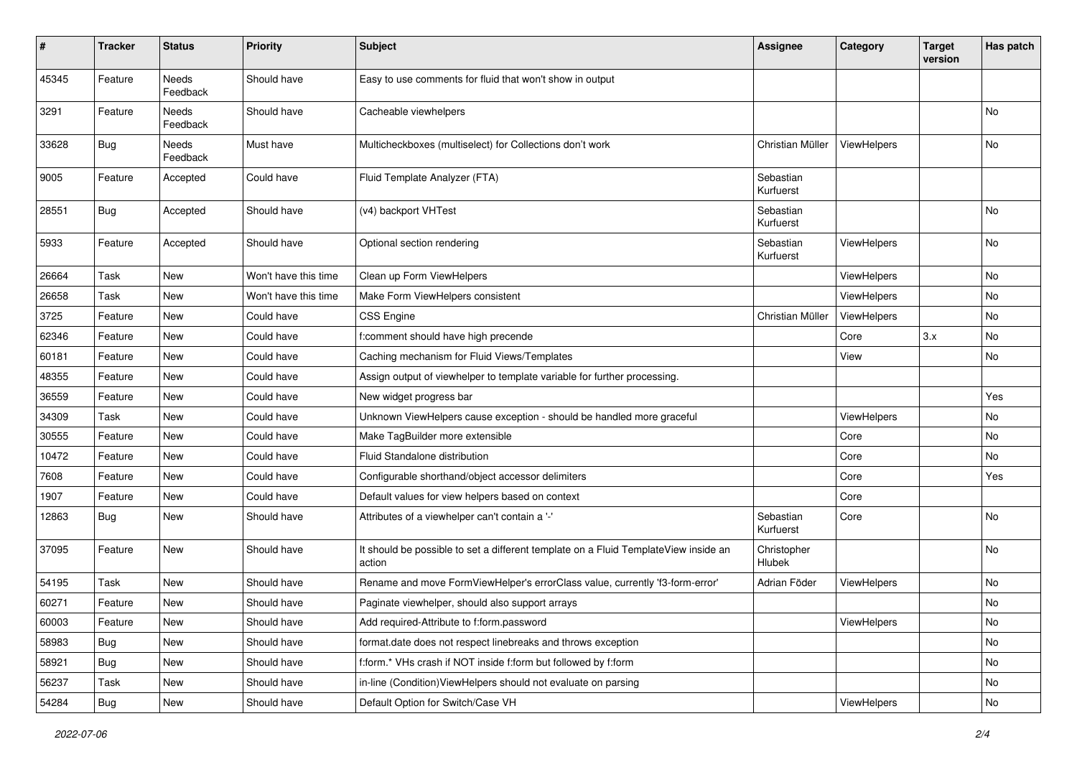| $\pmb{\#}$ | <b>Tracker</b> | <b>Status</b>     | <b>Priority</b>      | <b>Subject</b>                                                                                | <b>Assignee</b>        | Category    | <b>Target</b><br>version | Has patch |
|------------|----------------|-------------------|----------------------|-----------------------------------------------------------------------------------------------|------------------------|-------------|--------------------------|-----------|
| 45345      | Feature        | Needs<br>Feedback | Should have          | Easy to use comments for fluid that won't show in output                                      |                        |             |                          |           |
| 3291       | Feature        | Needs<br>Feedback | Should have          | Cacheable viewhelpers                                                                         |                        |             |                          | No        |
| 33628      | Bug            | Needs<br>Feedback | Must have            | Multicheckboxes (multiselect) for Collections don't work                                      | Christian Müller       | ViewHelpers |                          | No.       |
| 9005       | Feature        | Accepted          | Could have           | Fluid Template Analyzer (FTA)                                                                 | Sebastian<br>Kurfuerst |             |                          |           |
| 28551      | <b>Bug</b>     | Accepted          | Should have          | (v4) backport VHTest                                                                          | Sebastian<br>Kurfuerst |             |                          | No        |
| 5933       | Feature        | Accepted          | Should have          | Optional section rendering                                                                    | Sebastian<br>Kurfuerst | ViewHelpers |                          | <b>No</b> |
| 26664      | Task           | New               | Won't have this time | Clean up Form ViewHelpers                                                                     |                        | ViewHelpers |                          | <b>No</b> |
| 26658      | Task           | New               | Won't have this time | Make Form ViewHelpers consistent                                                              |                        | ViewHelpers |                          | No        |
| 3725       | Feature        | New               | Could have           | <b>CSS Engine</b>                                                                             | Christian Müller       | ViewHelpers |                          | No        |
| 62346      | Feature        | New               | Could have           | f:comment should have high precende                                                           |                        | Core        | 3.x                      | No        |
| 60181      | Feature        | New               | Could have           | Caching mechanism for Fluid Views/Templates                                                   |                        | View        |                          | <b>No</b> |
| 48355      | Feature        | New               | Could have           | Assign output of viewhelper to template variable for further processing.                      |                        |             |                          |           |
| 36559      | Feature        | New               | Could have           | New widget progress bar                                                                       |                        |             |                          | Yes       |
| 34309      | Task           | New               | Could have           | Unknown ViewHelpers cause exception - should be handled more graceful                         |                        | ViewHelpers |                          | <b>No</b> |
| 30555      | Feature        | New               | Could have           | Make TagBuilder more extensible                                                               |                        | Core        |                          | No        |
| 10472      | Feature        | New               | Could have           | Fluid Standalone distribution                                                                 |                        | Core        |                          | <b>No</b> |
| 7608       | Feature        | New               | Could have           | Configurable shorthand/object accessor delimiters                                             |                        | Core        |                          | Yes       |
| 1907       | Feature        | New               | Could have           | Default values for view helpers based on context                                              |                        | Core        |                          |           |
| 12863      | Bug            | New               | Should have          | Attributes of a viewhelper can't contain a '-'                                                | Sebastian<br>Kurfuerst | Core        |                          | No        |
| 37095      | Feature        | New               | Should have          | It should be possible to set a different template on a Fluid TemplateView inside an<br>action | Christopher<br>Hlubek  |             |                          | No        |
| 54195      | Task           | New               | Should have          | Rename and move FormViewHelper's errorClass value, currently 'f3-form-error'                  | Adrian Föder           | ViewHelpers |                          | No        |
| 60271      | Feature        | New               | Should have          | Paginate viewhelper, should also support arrays                                               |                        |             |                          | No        |
| 60003      | Feature        | New               | Should have          | Add required-Attribute to f:form.password                                                     |                        | ViewHelpers |                          | No        |
| 58983      | Bug            | New               | Should have          | format.date does not respect linebreaks and throws exception                                  |                        |             |                          | No        |
| 58921      | Bug            | New               | Should have          | f:form.* VHs crash if NOT inside f:form but followed by f:form                                |                        |             |                          | No        |
| 56237      | Task           | New               | Should have          | in-line (Condition) ViewHelpers should not evaluate on parsing                                |                        |             |                          | No        |
| 54284      | <b>Bug</b>     | New               | Should have          | Default Option for Switch/Case VH                                                             |                        | ViewHelpers |                          | No        |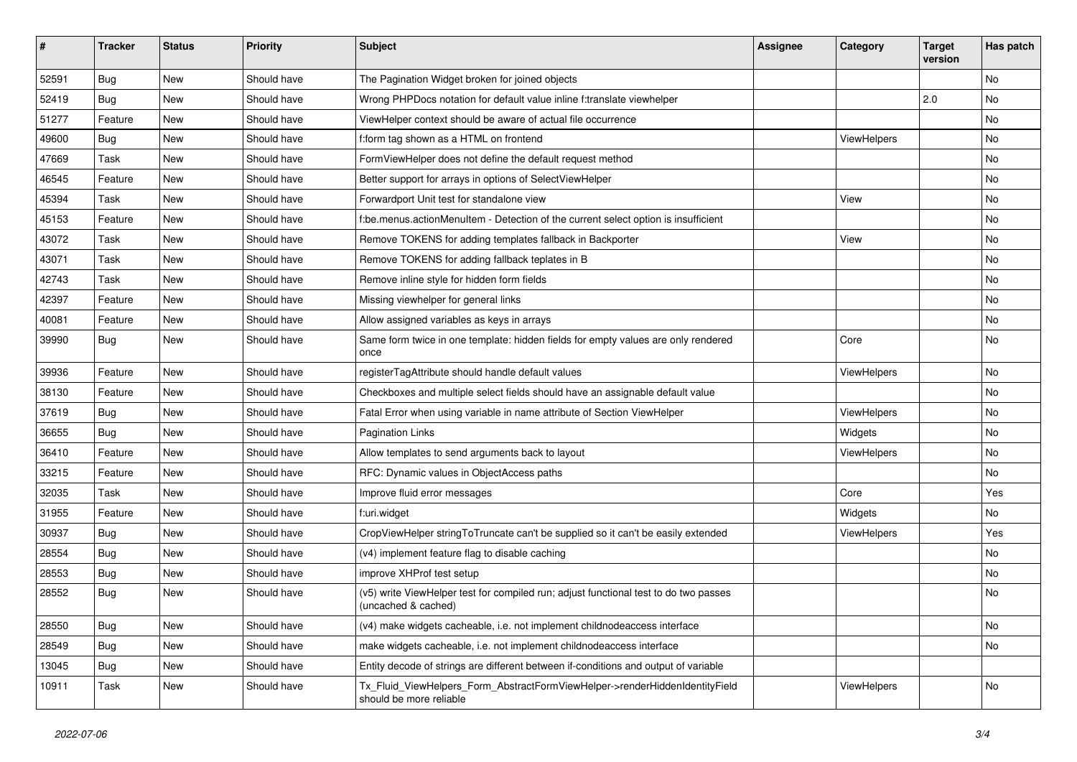| #     | <b>Tracker</b> | <b>Status</b> | <b>Priority</b> | Subject                                                                                                     | <b>Assignee</b> | Category    | <b>Target</b><br>version | Has patch |
|-------|----------------|---------------|-----------------|-------------------------------------------------------------------------------------------------------------|-----------------|-------------|--------------------------|-----------|
| 52591 | Bug            | New           | Should have     | The Pagination Widget broken for joined objects                                                             |                 |             |                          | No        |
| 52419 | Bug            | New           | Should have     | Wrong PHPDocs notation for default value inline f:translate viewhelper                                      |                 |             | 2.0                      | No        |
| 51277 | Feature        | New           | Should have     | ViewHelper context should be aware of actual file occurrence                                                |                 |             |                          | No        |
| 49600 | Bug            | New           | Should have     | f:form tag shown as a HTML on frontend                                                                      |                 | ViewHelpers |                          | No        |
| 47669 | Task           | New           | Should have     | FormViewHelper does not define the default request method                                                   |                 |             |                          | No        |
| 46545 | Feature        | New           | Should have     | Better support for arrays in options of SelectViewHelper                                                    |                 |             |                          | No        |
| 45394 | Task           | New           | Should have     | Forwardport Unit test for standalone view                                                                   |                 | View        |                          | No        |
| 45153 | Feature        | New           | Should have     | f:be.menus.actionMenuItem - Detection of the current select option is insufficient                          |                 |             |                          | No        |
| 43072 | Task           | New           | Should have     | Remove TOKENS for adding templates fallback in Backporter                                                   |                 | View        |                          | No        |
| 43071 | Task           | New           | Should have     | Remove TOKENS for adding fallback teplates in B                                                             |                 |             |                          | No        |
| 42743 | Task           | New           | Should have     | Remove inline style for hidden form fields                                                                  |                 |             |                          | No        |
| 42397 | Feature        | New           | Should have     | Missing viewhelper for general links                                                                        |                 |             |                          | No        |
| 40081 | Feature        | New           | Should have     | Allow assigned variables as keys in arrays                                                                  |                 |             |                          | No        |
| 39990 | Bug            | New           | Should have     | Same form twice in one template: hidden fields for empty values are only rendered<br>once                   |                 | Core        |                          | No        |
| 39936 | Feature        | New           | Should have     | registerTagAttribute should handle default values                                                           |                 | ViewHelpers |                          | No        |
| 38130 | Feature        | New           | Should have     | Checkboxes and multiple select fields should have an assignable default value                               |                 |             |                          | No        |
| 37619 | Bug            | New           | Should have     | Fatal Error when using variable in name attribute of Section ViewHelper                                     |                 | ViewHelpers |                          | No        |
| 36655 | Bug            | <b>New</b>    | Should have     | Pagination Links                                                                                            |                 | Widgets     |                          | No        |
| 36410 | Feature        | New           | Should have     | Allow templates to send arguments back to layout                                                            |                 | ViewHelpers |                          | No        |
| 33215 | Feature        | New           | Should have     | RFC: Dynamic values in ObjectAccess paths                                                                   |                 |             |                          | No        |
| 32035 | Task           | New           | Should have     | Improve fluid error messages                                                                                |                 | Core        |                          | Yes       |
| 31955 | Feature        | New           | Should have     | f:uri.widget                                                                                                |                 | Widgets     |                          | No        |
| 30937 | Bug            | New           | Should have     | CropViewHelper stringToTruncate can't be supplied so it can't be easily extended                            |                 | ViewHelpers |                          | Yes       |
| 28554 | Bug            | New           | Should have     | (v4) implement feature flag to disable caching                                                              |                 |             |                          | No        |
| 28553 | Bug            | New           | Should have     | improve XHProf test setup                                                                                   |                 |             |                          | No        |
| 28552 | Bug            | New           | Should have     | (v5) write ViewHelper test for compiled run; adjust functional test to do two passes<br>(uncached & cached) |                 |             |                          | No        |
| 28550 | <b>Bug</b>     | New           | Should have     | (v4) make widgets cacheable, i.e. not implement childnodeaccess interface                                   |                 |             |                          | No        |
| 28549 | <b>Bug</b>     | New           | Should have     | make widgets cacheable, i.e. not implement childnodeaccess interface                                        |                 |             |                          | No        |
| 13045 | Bug            | New           | Should have     | Entity decode of strings are different between if-conditions and output of variable                         |                 |             |                          |           |
| 10911 | Task           | New           | Should have     | Tx_Fluid_ViewHelpers_Form_AbstractFormViewHelper->renderHiddenIdentityField<br>should be more reliable      |                 | ViewHelpers |                          | No        |